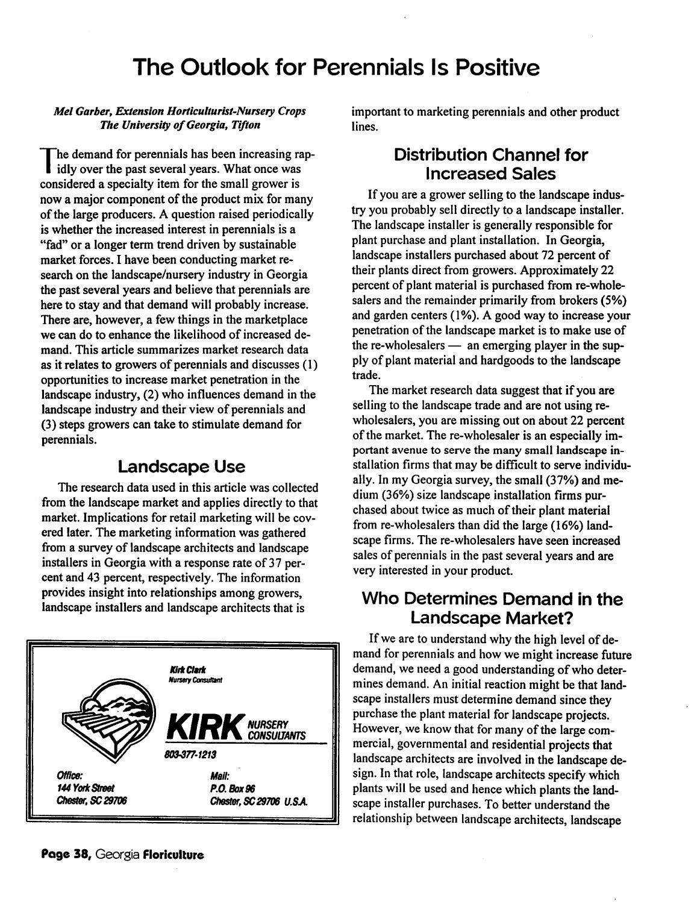# *The Outlook for Perennials Is Positive*

*Mel Garber, Extension Horticulturist-Nursery Crops The University ofGeorgia, Tifton*

*The demand for perennials has been increasing rap idly over the past several years. What once was considered a specialty item for the small grower is now a major* component of the product mix for many *ofthe large producers. A question raised periodically is whether the increased interest in perennials is a "fad" or a longer term trend driven by sustainable market forces. I have been conducting market re search on the landscape/nursery industry in Georgia the past several years and believe that perennials are here to stay and that demand will probably increase. There are, however, a few things in the marketplace we can do to enhance the likelihood of increased de mand. This article summarizes market research data as it relates to growers of perennials and discusses (1) opportunities to increase market penetration in the landscape industry, (2) who influences demand in the landscape industry and their view of perennials and (3) steps growers can take to stimulate demand for perennials.*

### *Landscape Use*

*The research data used in this article was collected from the landscape market and applies directly to that market. Implications for retail marketing will be cov ered later. The marketing information was gathered from a survey of landscape architects and landscape installers* in Georgia with a response rate of 37 per*cent and 43 percent, respectively. The information provides insight into relationships among growers, landscape installers and landscape architects that is*



*important to marketing perennials and other product lines.*

#### *Distribution Channel for Increased Sales*

*If you are a grower selling to the landscape indus try you probably sell directly to a landscape installer. The landscape installer is generally responsible for plant purchase and plant installation. In Georgia, landscape installers purchased about 72 percent of their plants direct from growers. Approximately 22 percent of plant material is purchased from re-whole salers and the remainder primarily from brokers (5%) and garden centers (1%). A good way to increase your penetration* of the landscape market is to make use of *the re-wholesalers — an emerging player in the sup ply of plant material and hardgoods to the landscape trade.*

*The market research data suggest that if you are selling to the landscape trade and are not using rewholesalers, you are missing out on about 22 percent ofthe market. The re-wholesaler is an especially im portant avenue to serve the many small landscape in stallation firms that may be difficult to serve individu ally. In my Georgia survey, the small (37%) and me dium (36%) size landscape installation firms pur chased about twice as much oftheir plant material from re-wholesalers than did the large (16%) land scape firms. The re-wholesalers have seen increased salesof perennials in the past several years and are very interested in your product.*

## *Who Determines Demand in the Landscape Market?*

*If we are to understand why the high level of de mand for perennials and how we might increase future demand, we need a good understanding ofwho deter mines demand. An initial reaction might be that land scape installers must determine demand sincethey purchase the plant material for landscape projects. However, we know that for many of the large commercial, governmental and residential projects that landscape architects are involved inthe landscape de sign. Inthat role, landscape architects specifywhich plants will be used and hence which plants the land scape installer purchases. To better understand the relationship between landscape architects, landscape*

*Page 38,* Georgia *Floriculture*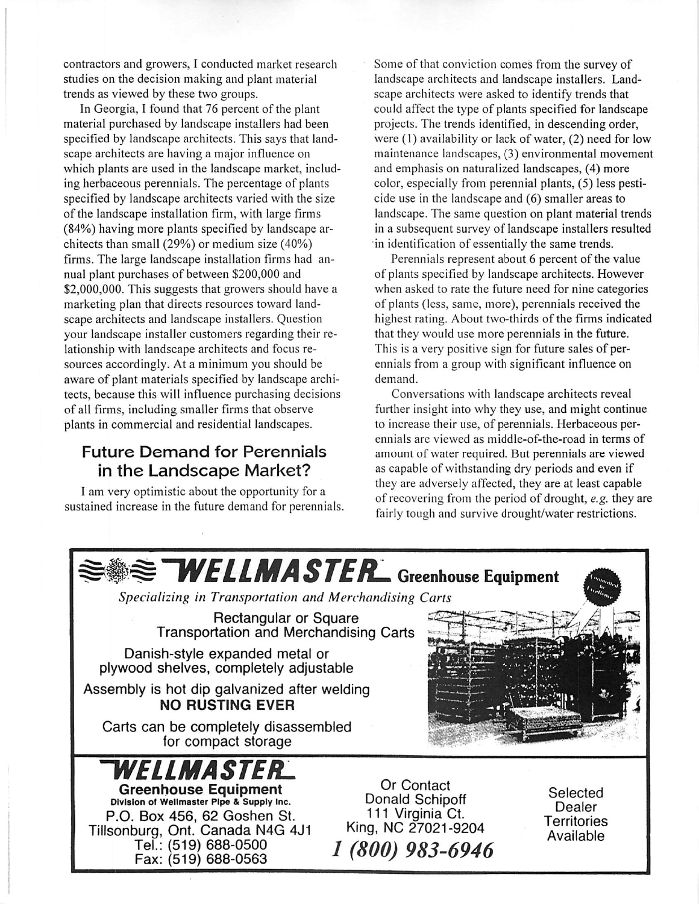contractors and growers, I conducted market research studies on the decision making and plant material trends as viewed by these two groups.

In Georgia, I found that 76 percent of the plant material purchased by landscape installers had been specified by landscape architects. This says that land scape architects are having a major influence on which plants are used in the landscape market, includ ing herbaceous perennials. The percentage of plants specified by landscape architects varied with the size of the landscape installation firm, with large firms (84%) having more plants specified by landscape ar chitects than small (29%) or medium size (40%) firms. The large landscape installation firms had an nual plant purchases of between \$200,000 and \$2,000,000. This suggests that growers should have a marketing plan that directs resources toward land scape architects and landscape installers. Question your landscape installer customers regarding their re lationship with landscape architects and focus re sources accordingly. At a minimum you should be aware of plant materials specified by landscape archi tects, because this will influence purchasing decisions of all firms, including smaller firms that observe plants in commercial and residential landscapes.

## Future Demand for Perennials in the Landscape Market?

I am very optimistic about the opportunity for a sustained increase in the future demand for perennials.

Some of that conviction comes from the survey of landscape architects and landscape installers. Land scape architects were asked to identify trends that could affect the type of plants specified for landscape projects. The trends identified, in descending order, were (1) availability or lack of water, (2) need for low maintenance landscapes, (3) environmental movement and emphasis on naturalized landscapes, (4) more color, especially from perennial plants, (5) less pesti cide use in the landscape and (6) smaller areas to landscape. The same question on plant material trends in a subsequent survey of landscape installers resulted in identification of essentially the same trends.

Perennials represent about 6 percent of the value of plants specified by landscape architects. However when asked to rate the future need for nine categories of plants (less, same, more), perennials received the highest rating. About two-thirds of the firms indicated that they would use more perennials in the future. This is a very positive sign for future sales of per ennials from a group with significant influence on demand.

Conversations with landscape architects reveal further insight into why they use, and might continue to increase their use, of perennials. Herbaceous per ennials are viewed as middle-of-the-road in terms of amount of water required. But perennials are viewed as capable of withstanding dry periods and even if they are adversely affected, they are at least capable of recovering from the period of drought, **e.g.** they are fairly tough and survive drought/water restrictions.